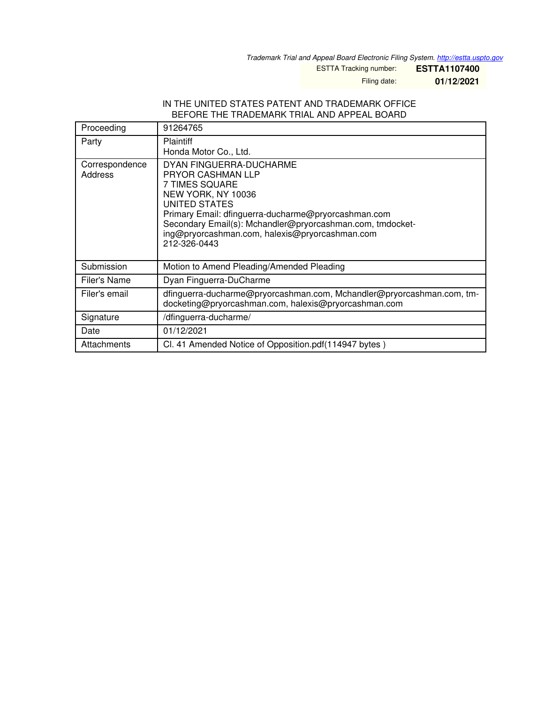*Trademark Trial and Appeal Board Electronic Filing System. <http://estta.uspto.gov>*

ESTTA Tracking number: **ESTTA1107400**

Filing date: **01/12/2021**

## IN THE UNITED STATES PATENT AND TRADEMARK OFFICE BEFORE THE TRADEMARK TRIAL AND APPEAL BOARD

| Proceeding                | 91264765                                                                                                                                                                                                                                                                                                  |  |
|---------------------------|-----------------------------------------------------------------------------------------------------------------------------------------------------------------------------------------------------------------------------------------------------------------------------------------------------------|--|
| Party                     | <b>Plaintiff</b><br>Honda Motor Co., Ltd.                                                                                                                                                                                                                                                                 |  |
| Correspondence<br>Address | DYAN FINGUERRA-DUCHARME<br><b>PRYOR CASHMAN LLP</b><br>7 TIMES SQUARE<br>NEW YORK, NY 10036<br><b>UNITED STATES</b><br>Primary Email: dfinguerra-ducharme@pryorcashman.com<br>Secondary Email(s): Mchandler@pryorcashman.com, tmdocket-<br>ing@pryorcashman.com, halexis@pryorcashman.com<br>212-326-0443 |  |
| Submission                | Motion to Amend Pleading/Amended Pleading                                                                                                                                                                                                                                                                 |  |
| Filer's Name              | Dyan Finguerra-DuCharme                                                                                                                                                                                                                                                                                   |  |
| Filer's email             | dfinguerra-ducharme@pryorcashman.com, Mchandler@pryorcashman.com, tm-<br>docketing@pryorcashman.com, halexis@pryorcashman.com                                                                                                                                                                             |  |
| Signature                 | /dfinguerra-ducharme/                                                                                                                                                                                                                                                                                     |  |
| Date                      | 01/12/2021                                                                                                                                                                                                                                                                                                |  |
| Attachments               | Cl. 41 Amended Notice of Opposition.pdf (114947 bytes)                                                                                                                                                                                                                                                    |  |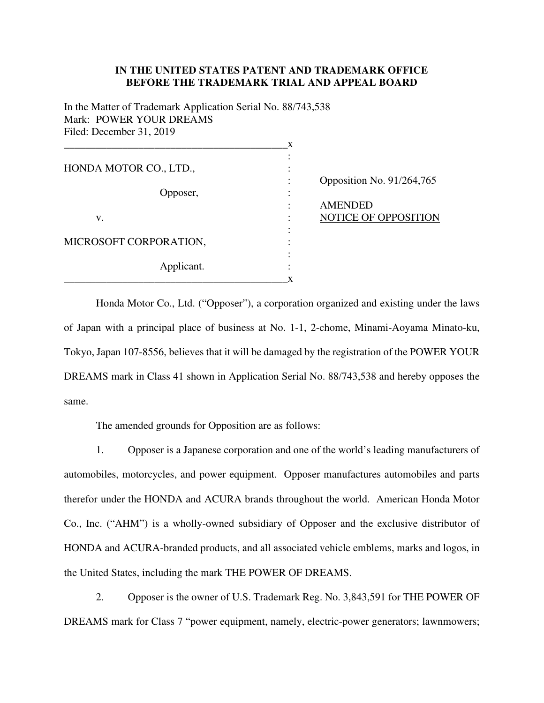## **IN THE UNITED STATES PATENT AND TRADEMARK OFFICE BEFORE THE TRADEMARK TRIAL AND APPEAL BOARD**

In the Matter of Trademark Application Serial No. 88/743,538 Mark: POWER YOUR DREAMS Filed: December 31, 2019

|                        | X |                           |
|------------------------|---|---------------------------|
|                        |   |                           |
| HONDA MOTOR CO., LTD., |   |                           |
|                        |   | Opposition No. 91/264,765 |
| Opposer,               |   |                           |
|                        |   | <b>AMENDED</b>            |
| V.                     |   | NOTICE OF OPPOSITION      |
|                        |   |                           |
| MICROSOFT CORPORATION, |   |                           |
|                        |   |                           |
| Applicant.             |   |                           |
|                        | x |                           |

Honda Motor Co., Ltd. ("Opposer"), a corporation organized and existing under the laws of Japan with a principal place of business at No. 1-1, 2-chome, Minami-Aoyama Minato-ku, Tokyo, Japan 107-8556, believes that it will be damaged by the registration of the POWER YOUR DREAMS mark in Class 41 shown in Application Serial No. 88/743,538 and hereby opposes the same.

The amended grounds for Opposition are as follows:

1. Opposer is a Japanese corporation and one of the world's leading manufacturers of automobiles, motorcycles, and power equipment. Opposer manufactures automobiles and parts therefor under the HONDA and ACURA brands throughout the world. American Honda Motor Co., Inc. ("AHM") is a wholly-owned subsidiary of Opposer and the exclusive distributor of HONDA and ACURA-branded products, and all associated vehicle emblems, marks and logos, in the United States, including the mark THE POWER OF DREAMS.

2. Opposer is the owner of U.S. Trademark Reg. No. 3,843,591 for THE POWER OF DREAMS mark for Class 7 "power equipment, namely, electric-power generators; lawnmowers;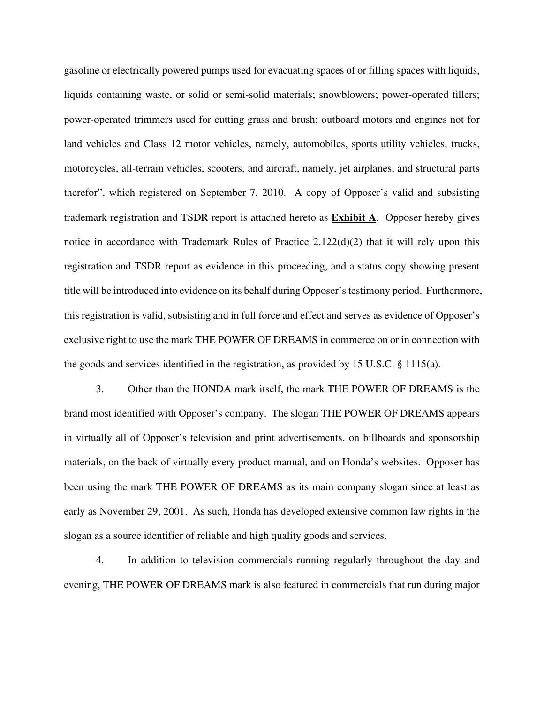gasoline or electrically powered pumps used for evacuating spaces of or filling spaces with liquids, liquids containing waste, or solid or semi-solid materials; snowblowers; power-operated tillers; power-operated trimmers used for cutting grass and brush; outboard motors and engines not for land vehicles and Class 12 motor vehicles, namely, automobiles, sports utility vehicles, trucks, motorcycles, all-terrain vehicles, scooters, and aircraft, namely, jet airplanes, and structural parts therefor", which registered on September 7, 2010. A copy of Opposer's valid and subsisting trademark registration and TSDR report is attached hereto as **Exhibit A**. Opposer hereby gives notice in accordance with Trademark Rules of Practice 2.122(d)(2) that it will rely upon this registration and TSDR report as evidence in this proceeding, and a status copy showing present title will be introduced into evidence on its behalf during Opposer's testimony period. Furthermore, this registration is valid, subsisting and in full force and effect and serves as evidence of Opposer's exclusive right to use the mark THE POWER OF DREAMS in commerce on or in connection with the goods and services identified in the registration, as provided by 15 U.S.C. § 1115(a).

3. Other than the HONDA mark itself, the mark THE POWER OF DREAMS is the brand most identified with Opposer's company. The slogan THE POWER OF DREAMS appears in virtually all of Opposer's television and print advertisements, on billboards and sponsorship materials, on the back of virtually every product manual, and on Honda's websites. Opposer has been using the mark THE POWER OF DREAMS as its main company slogan since at least as early as November 29, 2001. As such, Honda has developed extensive common law rights in the slogan as a source identifier of reliable and high quality goods and services.

4. In addition to television commercials running regularly throughout the day and evening, THE POWER OF DREAMS mark is also featured in commercials that run during major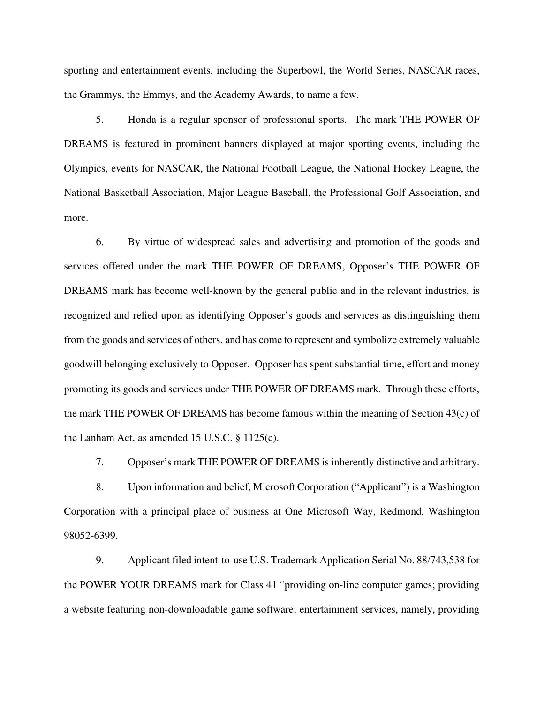sporting and entertainment events, including the Superbowl, the World Series, NASCAR races, the Grammys, the Emmys, and the Academy Awards, to name a few.

5. Honda is a regular sponsor of professional sports. The mark THE POWER OF DREAMS is featured in prominent banners displayed at major sporting events, including the Olympics, events for NASCAR, the National Football League, the National Hockey League, the National Basketball Association, Major League Baseball, the Professional Golf Association, and more.

6. By virtue of widespread sales and advertising and promotion of the goods and services offered under the mark THE POWER OF DREAMS, Opposer's THE POWER OF DREAMS mark has become well-known by the general public and in the relevant industries, is recognized and relied upon as identifying Opposer's goods and services as distinguishing them from the goods and services of others, and has come to represent and symbolize extremely valuable goodwill belonging exclusively to Opposer. Opposer has spent substantial time, effort and money promoting its goods and services under THE POWER OF DREAMS mark. Through these efforts, the mark THE POWER OF DREAMS has become famous within the meaning of Section 43(c) of the Lanham Act, as amended 15 U.S.C. § 1125(c).

7. Opposer's mark THE POWER OF DREAMS is inherently distinctive and arbitrary.

8. Upon information and belief, Microsoft Corporation ("Applicant") is a Washington Corporation with a principal place of business at One Microsoft Way, Redmond, Washington 98052-6399.

9. Applicant filed intent-to-use U.S. Trademark Application Serial No. 88/743,538 for the POWER YOUR DREAMS mark for Class 41 "providing on-line computer games; providing a website featuring non-downloadable game software; entertainment services, namely, providing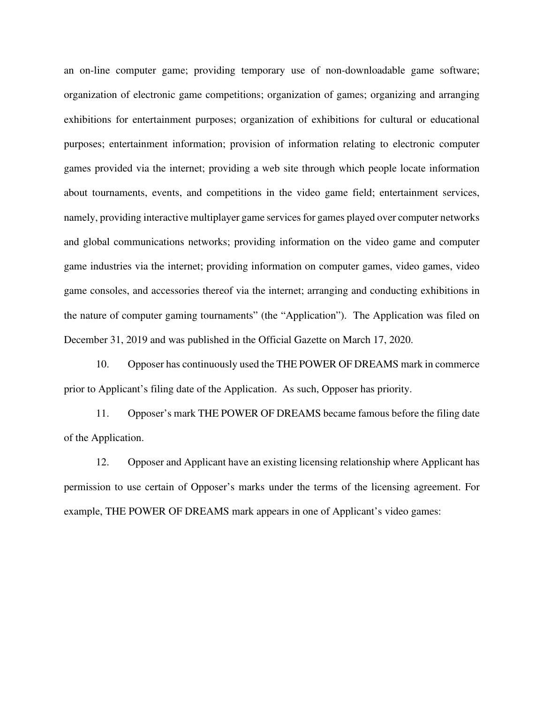an on-line computer game; providing temporary use of non-downloadable game software; organization of electronic game competitions; organization of games; organizing and arranging exhibitions for entertainment purposes; organization of exhibitions for cultural or educational purposes; entertainment information; provision of information relating to electronic computer games provided via the internet; providing a web site through which people locate information about tournaments, events, and competitions in the video game field; entertainment services, namely, providing interactive multiplayer game services for games played over computer networks and global communications networks; providing information on the video game and computer game industries via the internet; providing information on computer games, video games, video game consoles, and accessories thereof via the internet; arranging and conducting exhibitions in the nature of computer gaming tournaments" (the "Application"). The Application was filed on December 31, 2019 and was published in the Official Gazette on March 17, 2020.

10. Opposer has continuously used the THE POWER OF DREAMS mark in commerce prior to Applicant's filing date of the Application. As such, Opposer has priority.

11. Opposer's mark THE POWER OF DREAMS became famous before the filing date of the Application.

12. Opposer and Applicant have an existing licensing relationship where Applicant has permission to use certain of Opposer's marks under the terms of the licensing agreement. For example, THE POWER OF DREAMS mark appears in one of Applicant's video games: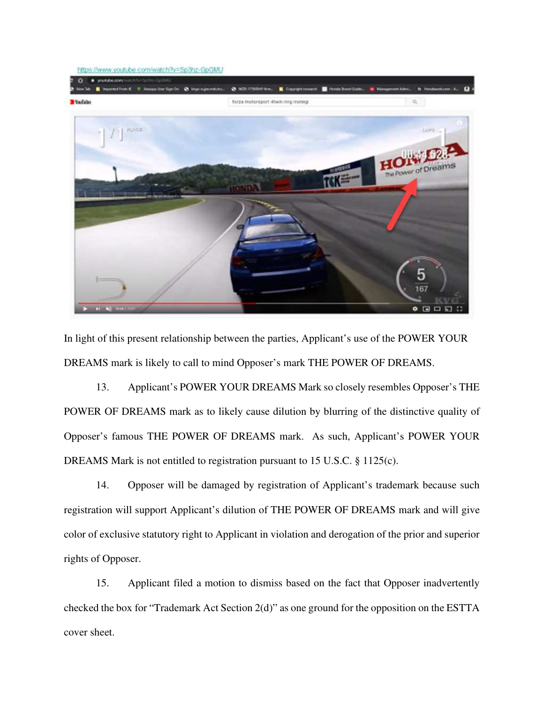

In light of this present relationship between the parties, Applicant's use of the POWER YOUR DREAMS mark is likely to call to mind Opposer's mark THE POWER OF DREAMS.

13. Applicant's POWER YOUR DREAMS Mark so closely resembles Opposer's THE POWER OF DREAMS mark as to likely cause dilution by blurring of the distinctive quality of Opposer's famous THE POWER OF DREAMS mark. As such, Applicant's POWER YOUR DREAMS Mark is not entitled to registration pursuant to 15 U.S.C. § 1125(c).

14. Opposer will be damaged by registration of Applicant's trademark because such registration will support Applicant's dilution of THE POWER OF DREAMS mark and will give color of exclusive statutory right to Applicant in violation and derogation of the prior and superior rights of Opposer.

15. Applicant filed a motion to dismiss based on the fact that Opposer inadvertently checked the box for "Trademark Act Section 2(d)" as one ground for the opposition on the ESTTA cover sheet.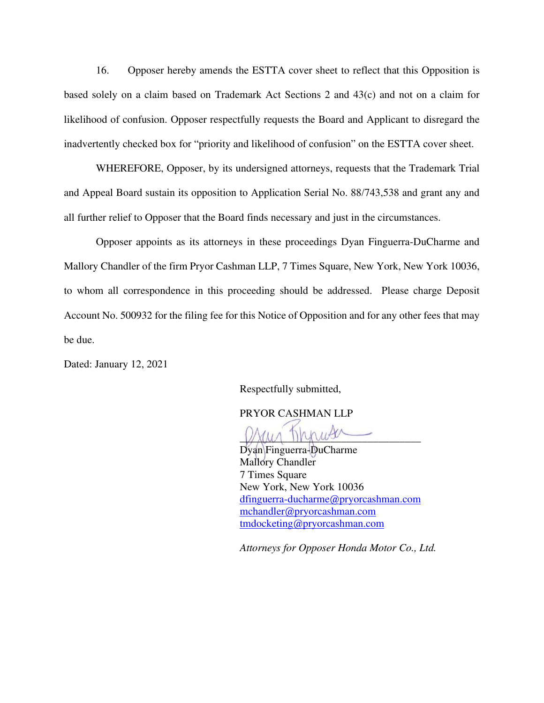16. Opposer hereby amends the ESTTA cover sheet to reflect that this Opposition is based solely on a claim based on Trademark Act Sections 2 and 43(c) and not on a claim for likelihood of confusion. Opposer respectfully requests the Board and Applicant to disregard the inadvertently checked box for "priority and likelihood of confusion" on the ESTTA cover sheet.

WHEREFORE, Opposer, by its undersigned attorneys, requests that the Trademark Trial and Appeal Board sustain its opposition to Application Serial No. 88/743,538 and grant any and all further relief to Opposer that the Board finds necessary and just in the circumstances.

Opposer appoints as its attorneys in these proceedings Dyan Finguerra-DuCharme and Mallory Chandler of the firm Pryor Cashman LLP, 7 Times Square, New York, New York 10036, to whom all correspondence in this proceeding should be addressed. Please charge Deposit Account No. 500932 for the filing fee for this Notice of Opposition and for any other fees that may be due.

Dated: January 12, 2021

Respectfully submitted,

PRYOR CASHMAN LLP

 $\nu$ 

Dyan Finguerra-DuCharme Mallory Chandler 7 Times Square New York, New York 10036 [dfinguerra-ducharme@pryorcashman.com](mailto:dfinguerra-ducharme@pryorcashman.com)  [mchandler@pryorcashman.com](mailto:mchandler@pryorcashman.com) [tmdocketing@pryorcashman.com](mailto:tmdocketing@pryorcashman.com) 

*Attorneys for Opposer Honda Motor Co., Ltd.*